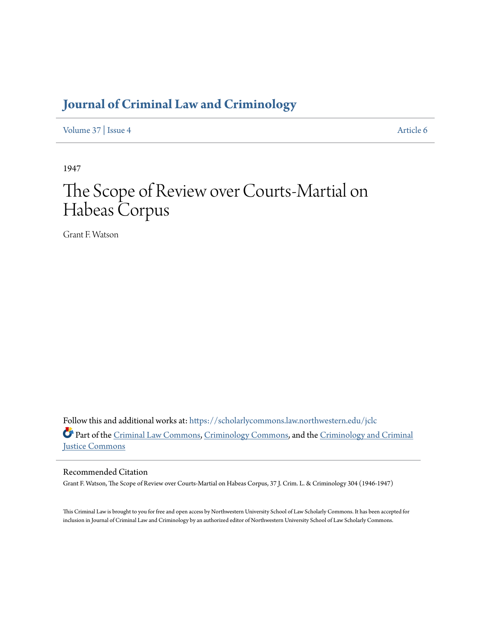## **[Journal of Criminal Law and Criminology](https://scholarlycommons.law.northwestern.edu/jclc?utm_source=scholarlycommons.law.northwestern.edu%2Fjclc%2Fvol37%2Fiss4%2F6&utm_medium=PDF&utm_campaign=PDFCoverPages)**

[Volume 37](https://scholarlycommons.law.northwestern.edu/jclc/vol37?utm_source=scholarlycommons.law.northwestern.edu%2Fjclc%2Fvol37%2Fiss4%2F6&utm_medium=PDF&utm_campaign=PDFCoverPages) | [Issue 4](https://scholarlycommons.law.northwestern.edu/jclc/vol37/iss4?utm_source=scholarlycommons.law.northwestern.edu%2Fjclc%2Fvol37%2Fiss4%2F6&utm_medium=PDF&utm_campaign=PDFCoverPages) [Article 6](https://scholarlycommons.law.northwestern.edu/jclc/vol37/iss4/6?utm_source=scholarlycommons.law.northwestern.edu%2Fjclc%2Fvol37%2Fiss4%2F6&utm_medium=PDF&utm_campaign=PDFCoverPages)

1947

## The Scope of Review over Courts-Martial on Habeas Corpus

Grant F. Watson

Follow this and additional works at: [https://scholarlycommons.law.northwestern.edu/jclc](https://scholarlycommons.law.northwestern.edu/jclc?utm_source=scholarlycommons.law.northwestern.edu%2Fjclc%2Fvol37%2Fiss4%2F6&utm_medium=PDF&utm_campaign=PDFCoverPages) Part of the [Criminal Law Commons](http://network.bepress.com/hgg/discipline/912?utm_source=scholarlycommons.law.northwestern.edu%2Fjclc%2Fvol37%2Fiss4%2F6&utm_medium=PDF&utm_campaign=PDFCoverPages), [Criminology Commons](http://network.bepress.com/hgg/discipline/417?utm_source=scholarlycommons.law.northwestern.edu%2Fjclc%2Fvol37%2Fiss4%2F6&utm_medium=PDF&utm_campaign=PDFCoverPages), and the [Criminology and Criminal](http://network.bepress.com/hgg/discipline/367?utm_source=scholarlycommons.law.northwestern.edu%2Fjclc%2Fvol37%2Fiss4%2F6&utm_medium=PDF&utm_campaign=PDFCoverPages) [Justice Commons](http://network.bepress.com/hgg/discipline/367?utm_source=scholarlycommons.law.northwestern.edu%2Fjclc%2Fvol37%2Fiss4%2F6&utm_medium=PDF&utm_campaign=PDFCoverPages)

## Recommended Citation

Grant F. Watson, The Scope of Review over Courts-Martial on Habeas Corpus, 37 J. Crim. L. & Criminology 304 (1946-1947)

This Criminal Law is brought to you for free and open access by Northwestern University School of Law Scholarly Commons. It has been accepted for inclusion in Journal of Criminal Law and Criminology by an authorized editor of Northwestern University School of Law Scholarly Commons.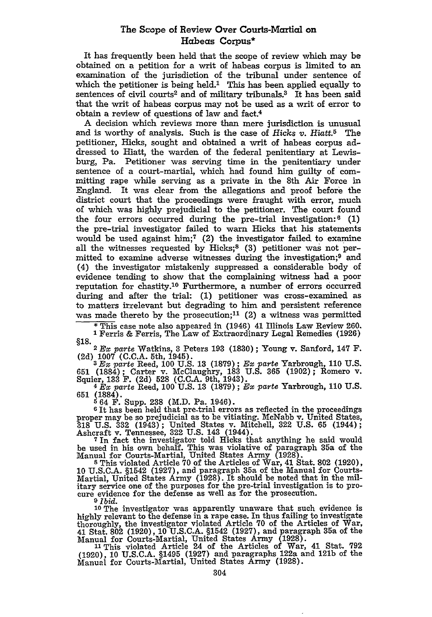## The Scope of Review Over Courts-Martial on Habeas Corpus\*

It has frequently been held that the scope of review which may be obtained on a petition for a writ of habeas corpus is limited to an examination of the jurisdiction of the tribunal under sentence of which the petitioner is being held.<sup>1</sup> This has been applied equally to sentences of civil courts<sup>2</sup> and of military tribunals.<sup>3</sup> It has been said that the writ of habeas corpus may not be used as a writ of error to obtain a review of questions of law and fact.4

A decision which reviews more than mere jurisdiction is unusual and is worthy of analysis. Such is the case of Hicks *v. Hiatt.5* The petitioner, Hicks, sought and obtained a writ of habeas corpus addressed to Hiatt, the warden of the federal penitentiary at Lewisburg, Pa. Petitioner was serving time in the penitentiary under sentence of a court-martial, which had found him guilty of committing rape while serving as a private in the 8th Air Force in England. It was clear from the allegations and proof before the district court that the proceedings were fraught with error, much of which was highly prejudicial to the petitioner. The court found the four errors occurred during the pre-trial investigation:<sup>6</sup> (1) the pre-trial investigator failed to warn Hicks that his statements would be used against him;<sup> $7$ </sup> (2) the investigator failed to examine all the witnesses requested by Hicks;<sup>8</sup> (3) petitioner was not permitted to examine adverse witnesses during the investigation;<sup>9</sup> and (4) the investigator mistakenly suppressed a considerable body of evidence tending to show that the complaining witness had a poor reputation for chastity.'O Furthermore, a number of errors occurred during and after the trial: (1) petitioner was cross-examined as to matters irrelevant but degrading to him and persistent reference was made thereto by the prosecution;<sup>11</sup> (2) a witness was permitted

\* This case note also appeared in (1946) 41 Illinois Law Review 260. **<sup>1</sup>**Ferris & Ferris, The Law of Extraordinary Legal Remedies (1926) **§18.**

<sup>2</sup>*EX parte* Watkins, **3** Peters **193 (1830)** ; Young v. Sanford, 147 F. **(2d) 1007 (C.C.A.** 5th, 1945). *3 Ex parte* Reed, **100** U.S. **13** (1879) **;** *Ex parte* Yarbrough, 110 U.S.

651 (1884); Carter v. McClaughry, 183 U.S. 365 (1902); Romero v.<br>Squier, 133 F. (2d) 528 (C.C.A. 9th, 1943).<br>  $4 Ex$  parte Reed, 100 U.S. 13 (1879); Ex parte Yarbrough, 110 U.S.

**651** (1884). **<sup>5</sup>**64 F. Supp. **238** (M.D. Pa. 1946). **<sup>6</sup>**It has been held that pre-trial errors as reflected in the proceedings

proper may be so prejudicial as to be vitiating. McNabb v. United States, **318 U.S. 332** (1943); United States v. Mitchell, **322 U.S. 65** (1944); Ashcraft v. Tennessee, **322 U.S.** 143 (1944). **7** In fact the investigator told Hicks that anything he said would

be used in his own behalf. This was violative of paragraph 35a of the Manual for Courts-Martial, United States Army **(1928). 8** This violated Article **70** of the Articles of War, 41 Stat. **802 (1920),**

**10 U.S.C.A.** §1542 **(1927),** and paragraph 35a of the Manual for Courts-Martial, United States Army **(1928).** It should be noted that in the military service one of the purposes for the pre-trial investigation is to pro- cure evidence for the defense as well as for the prosecution. cure evidence for the defense as well as for the prosecution.<br><sup>9</sup>*Ibid.* 

**<sup>10</sup>**The investigator was apparently unaware that such evidence is highly relevant to the defense in a rape case. In thus failing to investigate<br>thoroughly, the investigator violated Article 70 of the Articles of War,<br>41 Stat. 802 (1920), 10 U.S.C.A. §1542 (1927), and paragraph 35a of the

Manual for Courts-Martial, United States Army (1928).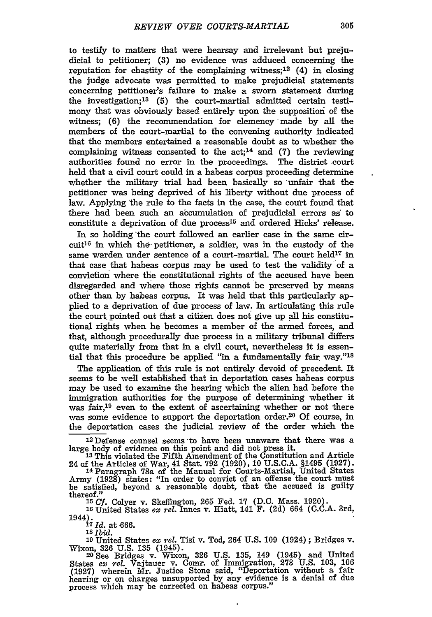to testify to matters that were hearsay and irrelevant but prejudicial to petitioner; **(3)** no evidence was adduced concerning the reputation for chastity of the complaining witness; $12$  (4) in closing the judge advocate was permitted to make prejudicial statements concerning petitioner's failure to make a sworn statement during the investigation; <sup>13</sup>**(5)** the court-martial admitted certain testimony that was obviously based entirely upon the supposition of the witness; (6) the recommendation for clemency made **by** all the members of the court-martial to the convening authority indicated that the members entertained a reasonable doubt as to whether the complaining witness consented to the  $act$ ;<sup>14</sup> and (7) the reviewing authorities found no error in the proceedings. The district court held that a civil court could in a habeas corpus proceeding determine whether the military trial had been, basically so 'unfair that the petitioner was being deprived of his liberty without due process of law. Applying the rule to the facts in the case, the court found that there had been such an accumulation of prejudicial errors as to constitute a deprivation of due process<sup>15</sup> and ordered Hicks' release.

In so holding the court followed an earlier case in the same circuit<sup>16</sup> in which the petitioner, a soldier, was in the custody of the same warden under sentence of a court-martial. The court held<sup>17</sup> in that case that habeas corpus may be used to test the validity'of a conviction where the constitutional rights of the accused have been disregarded and where those rights cannot be preserved by means other than by habeas corpus. It was held that this particularly applied to a deprivation of due process of law. In articulating this rule the court pointed out that a citizen does not give up *all* his constitutional rights when he becomes a member of the armed forces, and that, although procedurally due process in a military tribunal differs quite materially from that in a civil court, nevertheless it is essential that this procedure be applied "in a fundamentally fair way."<sup>18</sup>

The application of this rule is not entirely devoid of precedent. It seems to be well established that in deportation cases habeas corpus may be used to examine the hearing which the alien had before the immigration authorities for the purpose of determining whether it was fair,<sup>19</sup> even to the extent of ascertaining whether or not there was some evidence to support the deportation order.<sup>20</sup> Of course, in the deportation cases the judicial review of the order which the

12Defense counsel seems to have been unaware that there was a large body of evidence on this point and did not press it. **<sup>13</sup>**This violated the Fifth Amendment of the Constitution and Article

24 of the Articles of War, 41 Stat. 792 (1920), 10 U.S.C.A. §1495 (1927). **<sup>14</sup>**Paragraph 78a of the Manual for Courts-Martial, United States

Army (1928) states: "In order to convict of an offense the court must be satisfied, beyond a reasonable doubt, that the accused is guilty thereof."

<sup>15</sup>*Cf.* Colyer v. Skeffington, 265 Fed. **17** (D.C. Mass. 1920). **<sup>16</sup>**United States ex *rel.* Innes v. Hiatt, 141 F. (2d) 664 (C.C.A. 3rd,

1944). **<sup>17</sup>**Id. at 666. Is *Ibid.*

**<sup>19</sup>**United States ex *rel.* Tisi v. Tod, 264 U.S. 109 (1924); Bridges v. Wixon, **326** U.S. 135 (1945). **<sup>20</sup>**See Bridges v. Wixon, 326 U.S. 135, 149 (1945) and United

States *ex rel.* Vajtauer v. Comr. of Immigration, **273** U.S. 103, **106** (1927) wherein Mr. Justice Stone said, "Deportation without a fair hearing or on charges unsupported by any evidence is a denial of due process which may be corrected on habeas corpus."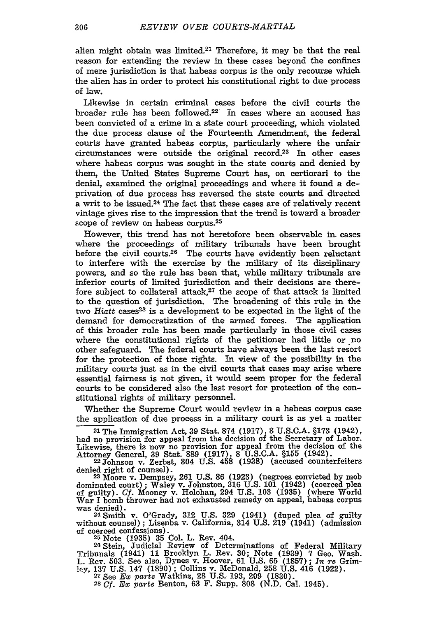alien might obtain was limited.<sup>21</sup> Therefore, it may be that the real reason for extending the review in these cases beyond the confines of mere jurisdiction is that habeas corpus is the only recourse which the alien has in order to protect his constitutional right to due process of law.

Likewise in certain criminal cases before the civil courts the broader rule has been followed.22 In cases where an accused has been convicted of a crime in a state court proceeding, which violated the due process clause of the Fourteenth Amendment, the federal courts have granted habeas corpus, particularly where the unfair circumstances were outside the original record.23 In other cases where habeas corpus was sought in the state courts and denied by them, the United States Supreme Court has, on certiorari to the denial, examined the original proceedings and where it found a deprivation of due process has reversed the state courts and directed a writ to be issued.24 The fact that these cases are of relatively recent vintage gives rise to the impression that the trend is toward a broader scope of review on habeas corpus.<sup>25</sup>

However, this trend has not heretofore been observable *in.* cases where the proceedings of military tribunals have been brought before the civil courts.26 The courts have evidently been reluctant to interfere with the exercise by the military of its disciplinary powers, and so the rule has been that, while military tribunals are inferior courts of limited jurisdiction and their decisions are therefore subject to collateral attack, $27$  the scope of that attack is limited to the question of jurisdiction. The broadening of this rule in the two *Hiatt* cases<sup>28</sup> is a development to be expected in the light of the demand for democratization of the armed forces. The application of this broader rule has been made particularly in those civil cases where the constitutional rights of the petitioner had little or no other safeguard. The federal courts have always been the last resort for the protection of those rights. In view of the possibility in the military courts just as in the civil courts that cases may arise where essential fairness is not given, it would seem proper for the federal courts to be considered also the last resort for protection of the constitutional rights of military personnel.

Whether the Supreme Court would review in a habeas corpus case the application of due process in a military court is as yet a matter

**<sup>21</sup>**The Immigration Act, 39 Stat. **874** (1917), **8** U.S.C.A. §173 (1942), had no provision for appeal from the decision of the Secretary of Labor. Likewise, there is now no provision for appeal from the decision of the Attorney General, **39** Stat. **889** (1917), **8** U.S.C.A. **§155** (1942). 22Johnson v. Zerbst, 304 U.S. 458 **(1938)** (accused counterfeiters

denied right of counsel). **23** Moore v. Dempsey, 261 U.S. 86 (1923) (negroes convicted by mob

dominated court); Waley v. Johnston, 316 U.S. 101 (1942) (coerced plea of guilty). *Cf.* Mooney v. Holohan, 294 **U.S. 103** (1935) (where World War I bomb thrower had not exhausted remedy on appeal, habeas corpus was denied).

**<sup>24</sup>**Smith v. O'Grady, 312 U.S. 329 (1941) (duped plea of guilty without counsel); Lisenba v. California, 314 **U.S.** 219 (1941) (admission of coerced confessions). **<sup>25</sup>**Note (1935) 35 Col. L. Rev. 404.

**<sup>26</sup>**Stein, Judicial Review of Determinations of Federal Military Tribunals (1941) 11 Brooklyn L. Rev. 30; Note (1939) 7 Geo. Wash. L. Rev. 503. See also, Dynes v. Hoover, 61 U.S. 65 **(1857);** *In re* Grim**lery, 137** U.S. 147 (1890); Collins v. McDonald, **258** U.S. 416 (1922). **<sup>27</sup>**See *Ex parte* Watkins, **28 U.S.-** 193, 209 (1830).

**28** *Cf. Ex parte* Benton, 63 F. Supp. **808** (N.D. Cal. 1945).